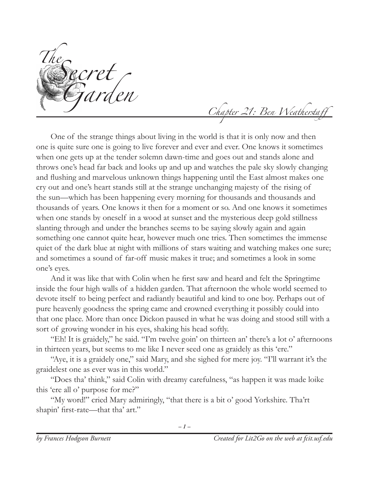*TheSecret Garden*

*Chapter 21: Ben Weatherstaff*

One of the strange things about living in the world is that it is only now and then one is quite sure one is going to live forever and ever and ever. One knows it sometimes when one gets up at the tender solemn dawn-time and goes out and stands alone and throws one's head far back and looks up and up and watches the pale sky slowly changing and flushing and marvelous unknown things happening until the East almost makes one cry out and one's heart stands still at the strange unchanging majesty of the rising of the sun—which has been happening every morning for thousands and thousands and thousands of years. One knows it then for a moment or so. And one knows it sometimes when one stands by oneself in a wood at sunset and the mysterious deep gold stillness slanting through and under the branches seems to be saying slowly again and again something one cannot quite hear, however much one tries. Then sometimes the immense quiet of the dark blue at night with millions of stars waiting and watching makes one sure; and sometimes a sound of far-off music makes it true; and sometimes a look in some one's eyes.

And it was like that with Colin when he first saw and heard and felt the Springtime inside the four high walls of a hidden garden. That afternoon the whole world seemed to devote itself to being perfect and radiantly beautiful and kind to one boy. Perhaps out of pure heavenly goodness the spring came and crowned everything it possibly could into that one place. More than once Dickon paused in what he was doing and stood still with a sort of growing wonder in his eyes, shaking his head softly.

"Eh! It is graidely," he said. "I'm twelve goin' on thirteen an' there's a lot o' afternoons in thirteen years, but seems to me like I never seed one as graidely as this 'ere."

"Aye, it is a graidely one," said Mary, and she sighed for mere joy. "I'll warrant it's the graidelest one as ever was in this world."

"Does tha' think," said Colin with dreamy carefulness, "as happen it was made loike this 'ere all o' purpose for me?"

"My word!" cried Mary admiringly, "that there is a bit o' good Yorkshire. Tha'rt shapin' first-rate—that tha' art."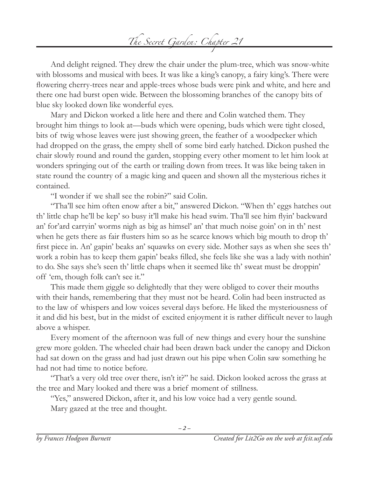

And delight reigned. They drew the chair under the plum-tree, which was snow-white with blossoms and musical with bees. It was like a king's canopy, a fairy king's. There were flowering cherry-trees near and apple-trees whose buds were pink and white, and here and there one had burst open wide. Between the blossoming branches of the canopy bits of blue sky looked down like wonderful eyes.

Mary and Dickon worked a litle here and there and Colin watched them. They brought him things to look at—buds which were opening, buds which were tight closed, bits of twig whose leaves were just showing green, the feather of a woodpecker which had dropped on the grass, the empty shell of some bird early hatched. Dickon pushed the chair slowly round and round the garden, stopping every other moment to let him look at wonders springing out of the earth or trailing down from trees. It was like being taken in state round the country of a magic king and queen and shown all the mysterious riches it contained.

"I wonder if we shall see the robin?" said Colin.

"Tha'll see him often enow after a bit," answered Dickon. "When th' eggs hatches out th' little chap he'll be kep' so busy it'll make his head swim. Tha'll see him flyin' backward an' for'ard carryin' worms nigh as big as himsel' an' that much noise goin' on in th' nest when he gets there as fair flusters him so as he scarce knows which big mouth to drop th' first piece in. An' gapin' beaks an' squawks on every side. Mother says as when she sees th' work a robin has to keep them gapin' beaks filled, she feels like she was a lady with nothin' to do. She says she's seen th' little chaps when it seemed like th' sweat must be droppin' off 'em, though folk can't see it."

This made them giggle so delightedly that they were obliged to cover their mouths with their hands, remembering that they must not be heard. Colin had been instructed as to the law of whispers and low voices several days before. He liked the mysteriousness of it and did his best, but in the midst of excited enjoyment it is rather difficult never to laugh above a whisper.

Every moment of the afternoon was full of new things and every hour the sunshine grew more golden. The wheeled chair had been drawn back under the canopy and Dickon had sat down on the grass and had just drawn out his pipe when Colin saw something he had not had time to notice before.

"That's a very old tree over there, isn't it?" he said. Dickon looked across the grass at the tree and Mary looked and there was a brief moment of stillness.

*– –*

"Yes," answered Dickon, after it, and his low voice had a very gentle sound.

Mary gazed at the tree and thought.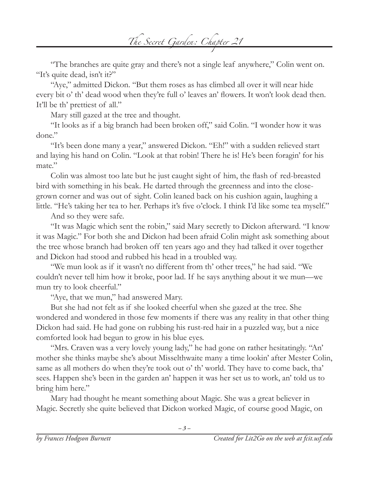

"The branches are quite gray and there's not a single leaf anywhere," Colin went on. "It's quite dead, isn't it?"

"Aye," admitted Dickon. "But them roses as has climbed all over it will near hide every bit o' th' dead wood when they're full o' leaves an' flowers. It won't look dead then. It'll be th' prettiest of all."

Mary still gazed at the tree and thought.

"It looks as if a big branch had been broken off," said Colin. "I wonder how it was done."

"It's been done many a year," answered Dickon. "Eh!" with a sudden relieved start and laying his hand on Colin. "Look at that robin! There he is! He's been foragin' for his mate."

Colin was almost too late but he just caught sight of him, the flash of red-breasted bird with something in his beak. He darted through the greenness and into the closegrown corner and was out of sight. Colin leaned back on his cushion again, laughing a little. "He's taking her tea to her. Perhaps it's five o'clock. I think I'd like some tea myself."

And so they were safe.

"It was Magic which sent the robin," said Mary secretly to Dickon afterward. "I know it was Magic." For both she and Dickon had been afraid Colin might ask something about the tree whose branch had broken off ten years ago and they had talked it over together and Dickon had stood and rubbed his head in a troubled way.

"We mun look as if it wasn't no different from th' other trees," he had said. "We couldn't never tell him how it broke, poor lad. If he says anything about it we mun—we mun try to look cheerful."

"Aye, that we mun," had answered Mary.

But she had not felt as if she looked cheerful when she gazed at the tree. She wondered and wondered in those few moments if there was any reality in that other thing Dickon had said. He had gone on rubbing his rust-red hair in a puzzled way, but a nice comforted look had begun to grow in his blue eyes.

"Mrs. Craven was a very lovely young lady," he had gone on rather hesitatingly. "An' mother she thinks maybe she's about Misselthwaite many a time lookin' after Mester Colin, same as all mothers do when they're took out o' th' world. They have to come back, tha' sees. Happen she's been in the garden an' happen it was her set us to work, an' told us to bring him here."

Mary had thought he meant something about Magic. She was a great believer in Magic. Secretly she quite believed that Dickon worked Magic, of course good Magic, on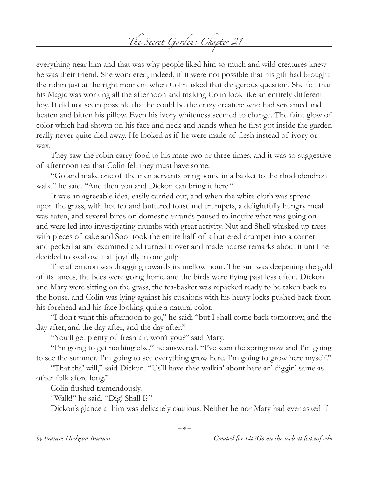## *The Secret Garden: Chapter 21*

everything near him and that was why people liked him so much and wild creatures knew he was their friend. She wondered, indeed, if it were not possible that his gift had brought the robin just at the right moment when Colin asked that dangerous question. She felt that his Magic was working all the afternoon and making Colin look like an entirely different boy. It did not seem possible that he could be the crazy creature who had screamed and beaten and bitten his pillow. Even his ivory whiteness seemed to change. The faint glow of color which had shown on his face and neck and hands when he first got inside the garden really never quite died away. He looked as if he were made of flesh instead of ivory or wax.

They saw the robin carry food to his mate two or three times, and it was so suggestive of afternoon tea that Colin felt they must have some.

"Go and make one of the men servants bring some in a basket to the rhododendron walk," he said. "And then you and Dickon can bring it here."

It was an agreeable idea, easily carried out, and when the white cloth was spread upon the grass, with hot tea and buttered toast and crumpets, a delightfully hungry meal was eaten, and several birds on domestic errands paused to inquire what was going on and were led into investigating crumbs with great activity. Nut and Shell whisked up trees with pieces of cake and Soot took the entire half of a buttered crumpet into a corner and pecked at and examined and turned it over and made hoarse remarks about it until he decided to swallow it all joyfully in one gulp.

The afternoon was dragging towards its mellow hour. The sun was deepening the gold of its lances, the bees were going home and the birds were flying past less often. Dickon and Mary were sitting on the grass, the tea-basket was repacked ready to be taken back to the house, and Colin was lying against his cushions with his heavy locks pushed back from his forehead and his face looking quite a natural color.

"I don't want this afternoon to go," he said; "but I shall come back tomorrow, and the day after, and the day after, and the day after."

"You'll get plenty of fresh air, won't you?" said Mary.

"I'm going to get nothing else," he answered. "I've seen the spring now and I'm going to see the summer. I'm going to see everything grow here. I'm going to grow here myself."

"That tha' will," said Dickon. "Us'll have thee walkin' about here an' diggin' same as other folk afore long."

Colin flushed tremendously.

"Walk!" he said. "Dig! Shall I?"

Dickon's glance at him was delicately cautious. Neither he nor Mary had ever asked if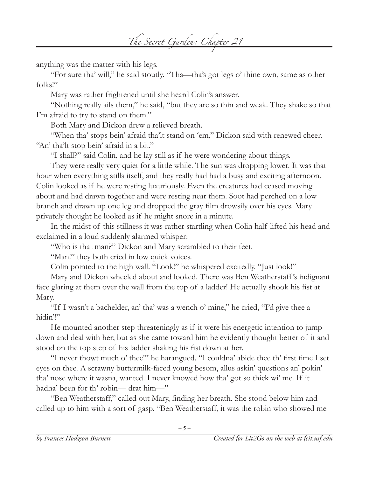*The Secret Garden: Chapter 21*

anything was the matter with his legs.

"For sure tha' will," he said stoutly. "Tha—tha's got legs o' thine own, same as other folks!"

Mary was rather frightened until she heard Colin's answer.

"Nothing really ails them," he said, "but they are so thin and weak. They shake so that I'm afraid to try to stand on them."

Both Mary and Dickon drew a relieved breath.

"When tha' stops bein' afraid tha'lt stand on 'em," Dickon said with renewed cheer. "An' tha'lt stop bein' afraid in a bit."

"I shall?" said Colin, and he lay still as if he were wondering about things.

They were really very quiet for a little while. The sun was dropping lower. It was that hour when everything stills itself, and they really had had a busy and exciting afternoon. Colin looked as if he were resting luxuriously. Even the creatures had ceased moving about and had drawn together and were resting near them. Soot had perched on a low branch and drawn up one leg and dropped the gray film drowsily over his eyes. Mary privately thought he looked as if he might snore in a minute.

In the midst of this stillness it was rather startling when Colin half lifted his head and exclaimed in a loud suddenly alarmed whisper:

"Who is that man?" Dickon and Mary scrambled to their feet.

"Man!" they both cried in low quick voices.

Colin pointed to the high wall. "Look!" he whispered excitedly. "Just look!"

Mary and Dickon wheeled about and looked. There was Ben Weatherstaff 's indignant face glaring at them over the wall from the top of a ladder! He actually shook his fist at Mary.

"If I wasn't a bachelder, an' tha' was a wench o' mine," he cried, "I'd give thee a hidin'!"

He mounted another step threateningly as if it were his energetic intention to jump down and deal with her; but as she came toward him he evidently thought better of it and stood on the top step of his ladder shaking his fist down at her.

"I never thowt much o' thee!" he harangued. "I couldna' abide thee th' first time I set eyes on thee. A scrawny buttermilk-faced young besom, allus askin' questions an' pokin' tha' nose where it wasna, wanted. I never knowed how tha' got so thick wi' me. If it hadna' been for th' robin— drat him—"

"Ben Weatherstaff," called out Mary, finding her breath. She stood below him and called up to him with a sort of gasp. "Ben Weatherstaff, it was the robin who showed me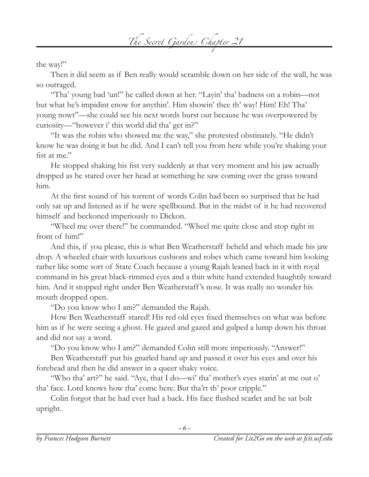

the way!"

Then it did seem as if Ben really would scramble down on her side of the wall, he was so outraged.

"Tha' young bad 'un!" he called down at her. "Layin' tha' badness on a robin—not but what he's impidint enow for anythin'. Him showin' thee th' way! Him! Eh! Tha' young nowt"—she could see his next words burst out because he was overpowered by curiosity—"however i' this world did tha' get in?"

"It was the robin who showed me the way," she protested obstinately. "He didn't know he was doing it but he did. And I can't tell you from here while you're shaking your fist at me."

He stopped shaking his fist very suddenly at that very moment and his jaw actually dropped as he stared over her head at something he saw coming over the grass toward him.

At the first sound of his torrent of words Colin had been so surprised that he had only sat up and listened as if he were spellbound. But in the midst of it he had recovered himself and beckoned imperiously to Dickon.

"Wheel me over there!" he commanded. "Wheel me quite close and stop right in front of him!"

And this, if you please, this is what Ben Weatherstaff beheld and which made his jaw drop. A wheeled chair with luxurious cushions and robes which came toward him looking rather like some sort of State Coach because a young Rajah leaned back in it with royal command in his great black-rimmed eyes and a thin white hand extended haughtily toward him. And it stopped right under Ben Weatherstaff 's nose. It was really no wonder his mouth dropped open.

"Do you know who I am?" demanded the Rajah.

How Ben Weatherstaff stared! His red old eyes fixed themselves on what was before him as if he were seeing a ghost. He gazed and gazed and gulped a lump down his throat and did not say a word.

"Do you know who I am?" demanded Colin still more imperiously. "Answer!"

Ben Weatherstaff put his gnarled hand up and passed it over his eyes and over his forehead and then he did answer in a queer shaky voice.

"Who tha' art?" he said. "Aye, that I do—wi' tha' mother's eyes starin' at me out o' tha' face. Lord knows how tha' come here. But tha'rt th' poor cripple."

Colin forgot that he had ever had a back. His face flushed scarlet and he sat bolt upright.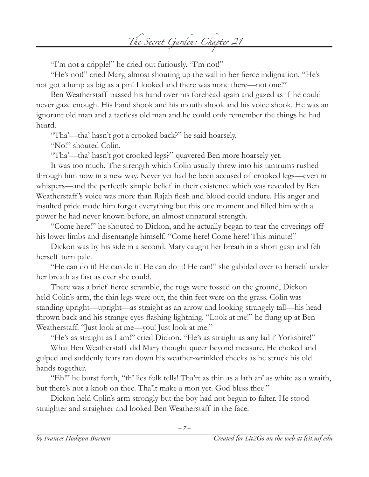*The Secret Garden: Chapter 21*

"I'm not a cripple!" he cried out furiously. "I'm not!"

"He's not!" cried Mary, almost shouting up the wall in her fierce indignation. "He's not got a lump as big as a pin! I looked and there was none there—not one!"

Ben Weatherstaff passed his hand over his forehead again and gazed as if he could never gaze enough. His hand shook and his mouth shook and his voice shook. He was an ignorant old man and a tactless old man and he could only remember the things he had heard.

"Tha'—tha' hasn't got a crooked back?" he said hoarsely.

"No!" shouted Colin.

"Tha'—tha' hasn't got crooked legs?" quavered Ben more hoarsely yet.

It was too much. The strength which Colin usually threw into his tantrums rushed through him now in a new way. Never yet had he been accused of crooked legs—even in whispers—and the perfectly simple belief in their existence which was revealed by Ben Weatherstaff 's voice was more than Rajah flesh and blood could endure. His anger and insulted pride made him forget everything but this one moment and filled him with a power he had never known before, an almost unnatural strength.

"Come here!" he shouted to Dickon, and he actually began to tear the coverings off his lower limbs and disentangle himself. "Come here! Come here! This minute!"

Dickon was by his side in a second. Mary caught her breath in a short gasp and felt herself turn pale.

"He can do it! He can do it! He can do it! He can!" she gabbled over to herself under her breath as fast as ever she could.

There was a brief fierce scramble, the rugs were tossed on the ground, Dickon held Colin's arm, the thin legs were out, the thin feet were on the grass. Colin was standing upright—upright—as straight as an arrow and looking strangely tall—his head thrown back and his strange eyes flashing lightning. "Look at me!" he flung up at Ben Weatherstaff. "Just look at me—you! Just look at me!"

"He's as straight as I am!" cried Dickon. "He's as straight as any lad i' Yorkshire!"

What Ben Weatherstaff did Mary thought queer beyond measure. He choked and gulped and suddenly tears ran down his weather-wrinkled cheeks as he struck his old hands together.

"Eh!" he burst forth, "th' lies folk tells! Tha'rt as thin as a lath an' as white as a wraith, but there's not a knob on thee. Tha'lt make a mon yet. God bless thee!"

Dickon held Colin's arm strongly but the boy had not begun to falter. He stood straighter and straighter and looked Ben Weatherstaff in the face.